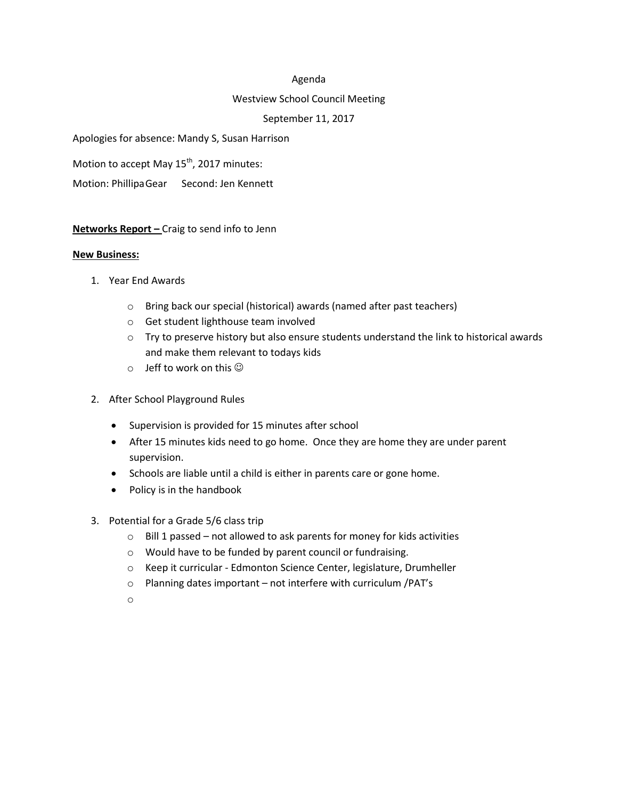#### Agenda

#### Westview School Council Meeting

## September 11, 2017

Apologies for absence: Mandy S, Susan Harrison

Motion to accept May  $15^{th}$ , 2017 minutes:

Motion: PhillipaGear Second: Jen Kennett

**Networks Report –** Craig to send info to Jenn

#### **New Business:**

- 1. Year End Awards
	- o Bring back our special (historical) awards (named after past teachers)
	- o Get student lighthouse team involved
	- $\circ$  Try to preserve history but also ensure students understand the link to historical awards and make them relevant to todays kids
	- $\circ$  Jeff to work on this  $\odot$
- 2. After School Playground Rules
	- Supervision is provided for 15 minutes after school
	- After 15 minutes kids need to go home. Once they are home they are under parent supervision.
	- Schools are liable until a child is either in parents care or gone home.
	- Policy is in the handbook
- 3. Potential for a Grade 5/6 class trip
	- $\circ$  Bill 1 passed not allowed to ask parents for money for kids activities
	- o Would have to be funded by parent council or fundraising.
	- o Keep it curricular Edmonton Science Center, legislature, Drumheller
	- o Planning dates important not interfere with curriculum /PAT's
	- o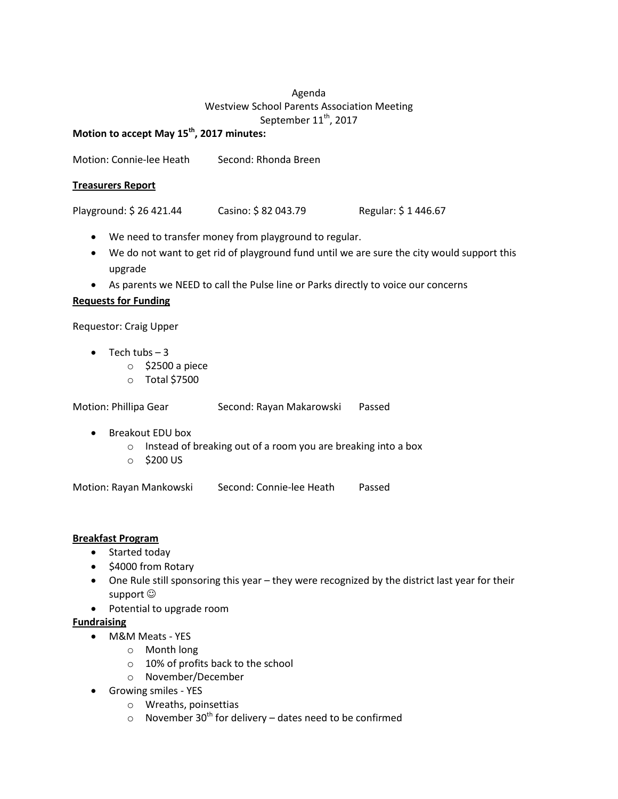# Agenda Westview School Parents Association Meeting September  $11^{\text{th}}$ , 2017

# **Motion to accept May 15th , 2017 minutes:**

Motion: Connie-lee Heath Second: Rhonda Breen

## **Treasurers Report**

Playground: \$ 26 421.44 Casino: \$ 82 043.79 Regular: \$ 1 446.67

- We need to transfer money from playground to regular.
- We do not want to get rid of playground fund until we are sure the city would support this upgrade
- As parents we NEED to call the Pulse line or Parks directly to voice our concerns

## **Requests for Funding**

Requestor: Craig Upper

- $\bullet$  Tech tubs  $-3$ 
	- o \$2500 a piece
	- o Total \$7500

| Motion: Phillipa Gear | Second: Rayan Makarowski | Passed |
|-----------------------|--------------------------|--------|
|                       |                          |        |

- Breakout EDU box
	- o Instead of breaking out of a room you are breaking into a box
	- o \$200 US

Motion: Rayan Mankowski Second: Connie-lee Heath Passed

## **Breakfast Program**

- Started today
- \$4000 from Rotary
- One Rule still sponsoring this year they were recognized by the district last year for their support  $\odot$
- Potential to upgrade room

# **Fundraising**

- M&M Meats YES
	- o Month long
	- o 10% of profits back to the school
	- o November/December
- Growing smiles YES
	- o Wreaths, poinsettias
	- o November 30<sup>th</sup> for delivery dates need to be confirmed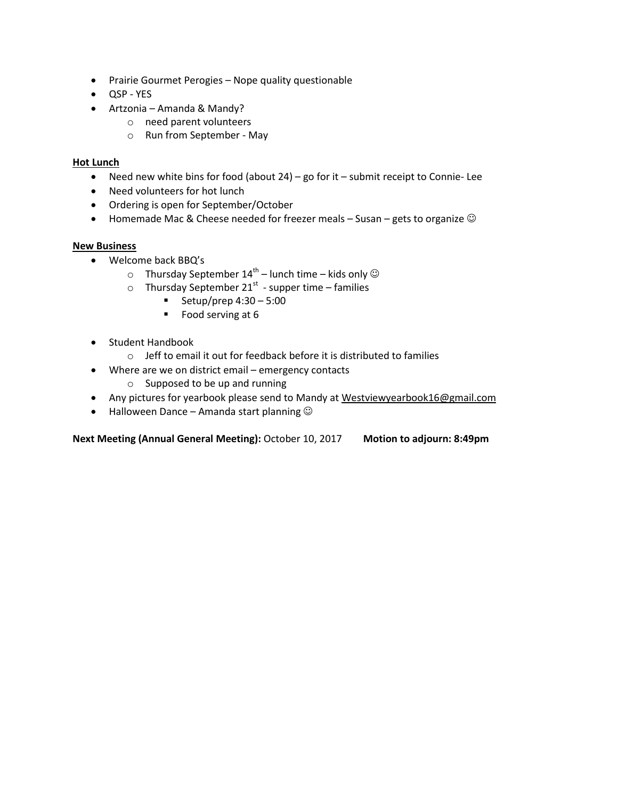- Prairie Gourmet Perogies Nope quality questionable
- QSP YES
- Artzonia Amanda & Mandy?
	- o need parent volunteers
	- o Run from September May

## **Hot Lunch**

- Need new white bins for food (about 24) go for it submit receipt to Connie- Lee
- Need volunteers for hot lunch
- Ordering is open for September/October
- Homemade Mac & Cheese needed for freezer meals  $-$  Susan gets to organize  $\odot$

## **New Business**

- Welcome back BBQ's
	- $\circ$  Thursday September 14<sup>th</sup> lunch time kids only  $\odot$
	- $\circ$  Thursday September 21<sup>st</sup> supper time families
		- Setup/prep  $4:30 5:00$
		- Food serving at  $6$
- Student Handbook
	- o Jeff to email it out for feedback before it is distributed to families
- Where are we on district email emergency contacts
	- o Supposed to be up and running
- Any pictures for yearbook please send to Mandy at [Westviewyearbook16@gmail.com](mailto:Westviewyearbook16@gmail.com)
- $\bullet$  Halloween Dance Amanda start planning  $\odot$

**Next Meeting (Annual General Meeting):** October 10, 2017 **Motion to adjourn: 8:49pm**